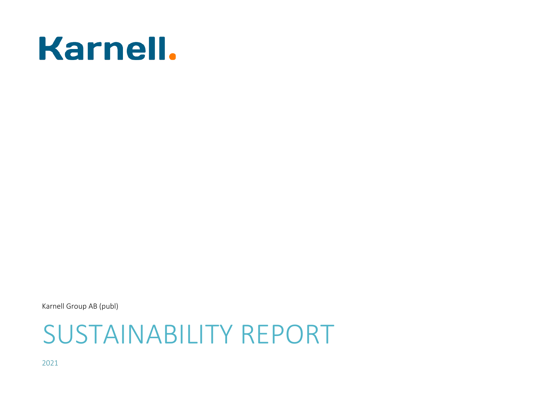# **Karnell.**

Karnell Group AB (publ)

2021

# SUSTAINABILITY REPORT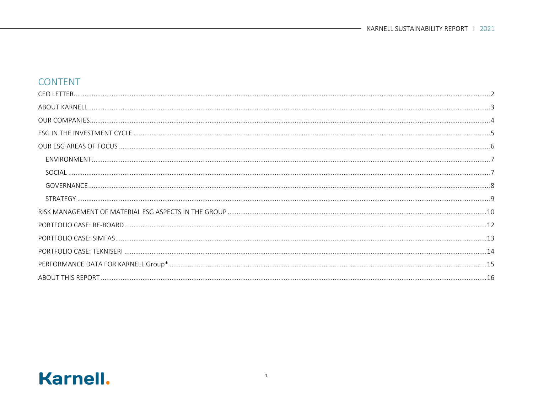### CONTENT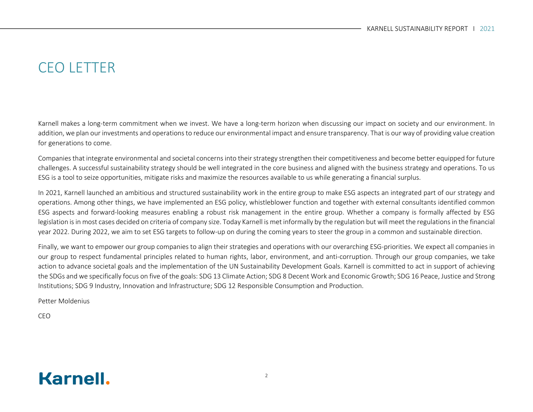## CEO LETTER

Karnell makes a long-term commitment when we invest. We have a long-term horizon when discussing our impact on society and our environment. In addition, we plan our investments and operations to reduce our environmental impact and ensure transparency. That is our way of providing value creation for generations to come.

Companies that integrate environmental and societal concerns into their strategy strengthen their competitiveness and become better equipped for future challenges. A successful sustainability strategy should be well integrated in the core business and aligned with the business strategy and operations. To us ESG is a tool to seize opportunities, mitigate risks and maximize the resources available to us while generating a financial surplus.

In 2021, Karnell launched an ambitious and structured sustainability work in the entire group to make ESG aspects an integrated part of our strategy and operations. Among other things, we have implemented an ESG policy, whistleblower function and together with external consultants identified common ESG aspects and forward-looking measures enabling a robust risk management in the entire group. Whether a company is formally affected by ESG legislation is in most cases decided on criteria of company size. Today Karnell is met informally by the regulation but will meet the regulations in the financial year 2022. During 2022, we aim to set ESG targets to follow-up on during the coming years to steer the group in a common and sustainable direction.

Finally, we want to empower our group companies to align their strategies and operations with our overarching ESG-priorities. We expect all companies in our group to respect fundamental principles related to human rights, labor, environment, and anti-corruption. Through our group companies, we take action to advance societal goals and the implementation of the UN Sustainability Development Goals. Karnell is committed to act in support of achieving the SDGs and we specifically focus on five of the goals: SDG 13 Climate Action; SDG 8 Decent Work and Economic Growth; SDG 16 Peace, Justice and Strong Institutions; SDG 9 Industry, Innovation and Infrastructure; SDG 12 Responsible Consumption and Production.

Petter Moldenius

CEO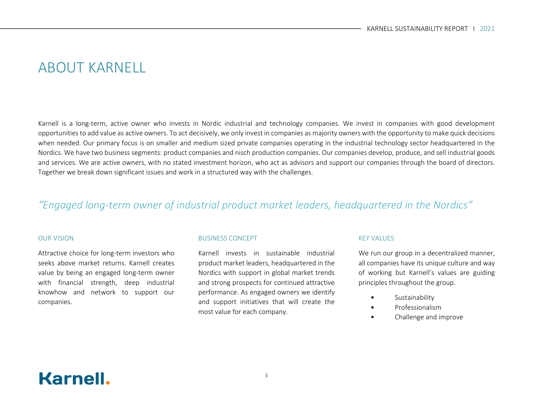## ABOUT KARNELL

Karnell is a long-term, active owner who invests in Nordic industrial and technology companies. We invest in companies with good development opportunities to add value as active owners. To act decisively, we only invest in companies as majority owners with the opportunity to make quick decisions when needed. Our primary focus is on smaller and medium sized private companies operating in the industrial technology sector headquartered in the Nordics. We have two business segments: product companies and nisch production companies. Our companies develop, produce, and sell industrial goods and services. We are active owners, with no stated investment horizon, who act as advisors and support our companies through the board of directors. Together we break down significant issues and work in a structured way with the challenges.

### *"Engaged long-term owner of industrial product market leaders, headquartered in the Nordics"*

#### OUR VISION

Attractive choice for long-term investors who seeks above market returns. Karnell creates value by being an engaged long-term owner with financial strength, deep industrial knowhow and network to support our companies.

#### BUSINESS CONCEPT

Karnell invests in sustainable industrial product market leaders, headquartered in the Nordics with support in global market trends and strong prospects for continued attractive performance. As engaged owners we identify and support initiatives that will create the most value for each company.

#### KEY VALUES

We run our group in a decentralized manner, all companies have its unique culture and way of working but Karnell's values are guiding principles throughout the group.

- **Sustainability**
- Professionalism
- Challenge and improve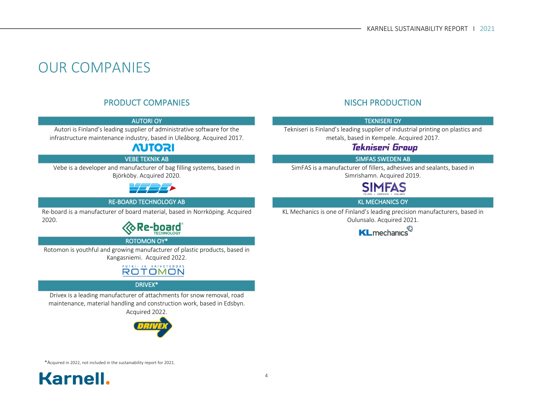## OUR COMPANIES

### PRODUCT COMPANIES NISCH PRODUCTION

Autori is Finland's leading supplier of administrative software for the infrastructure maintenance industry, based in Uleåborg. Acquired 2017.

### **AUTORI**

Vebe is a developer and manufacturer of bag filling systems, based in Björköby. Acquired 2020.



#### RE-BOARD TECHNOLOGY AB KL MECHANICS OY

Re-board is a manufacturer of board material, based in Norrköping. Acquired 2020.



#### ROTOMON OY\*

Rotomon is youthful and growing manufacturer of plastic products, based in Kangasniemi. Acquired 2022.

#### PUTKI- JA KAIVOTEHDAS **ROTOMON**

#### DRIVEX\*

Drivex is a leading manufacturer of attachments for snow removal, road maintenance, material handling and construction work, based in Edsbyn. Acquired 2022.



#### AUTORI OY TEKNISERI OY

Tekniseri is Finland's leading supplier of industrial printing on plastics and metals, based in Kempele. Acquired 2017.

#### Tekniseri Group

#### VEBE TEKNIK AB SIMFAS SWEDEN AB

SimFAS is a manufacturer of fillers, adhesives and sealants, based in Simrishamn. Acquired 2019.

## SIMFAS

KL Mechanics is one of Finland's leading precision manufacturers, based in Oulunsalo. Acquired 2021.



\*Acquired in 2022, not included in the sustainability report for 2021.

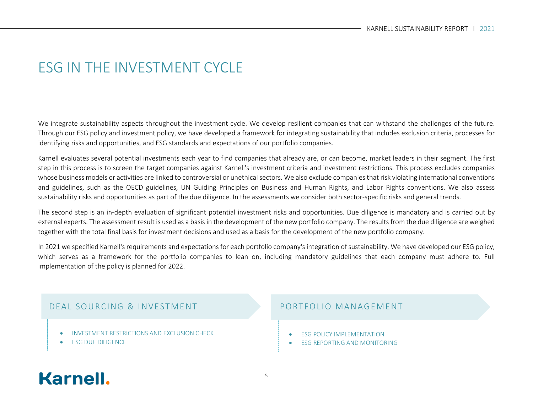## ESG IN THE INVESTMENT CYCLE

We integrate sustainability aspects throughout the investment cycle. We develop resilient companies that can withstand the challenges of the future. Through our ESG policy and investment policy, we have developed a framework for integrating sustainability that includes exclusion criteria, processes for identifying risks and opportunities, and ESG standards and expectations of our portfolio companies.

Karnell evaluates several potential investments each year to find companies that already are, or can become, market leaders in their segment. The first step in this process is to screen the target companies against Karnell's investment criteria and investment restrictions. This process excludes companies whose business models or activities are linked to controversial or unethical sectors. We also exclude companies that risk violating international conventions and guidelines, such as the OECD guidelines, UN Guiding Principles on Business and Human Rights, and Labor Rights conventions. We also assess sustainability risks and opportunities as part of the due diligence. In the assessments we consider both sector-specific risks and general trends.

The second step is an in-depth evaluation of significant potential investment risks and opportunities. Due diligence is mandatory and is carried out by external experts. The assessment result is used as a basis in the development of the new portfolio company. The results from the due diligence are weighed together with the total final basis for investment decisions and used as a basis for the development of the new portfolio company.

In 2021 we specified Karnell's requirements and expectations for each portfolio company's integration of sustainability. We have developed our ESG policy, which serves as a framework for the portfolio companies to lean on, including mandatory guidelines that each company must adhere to. Full implementation of the policy is planned for 2022.

#### DEAL SOURCING & INVESTMENT PORTFOLIO MANAGEMENT

- INVESTMENT RESTRICTIONS AND EXCLUSION CHECK
- **ESG DUE DILIGENCE**

- **ESG POLICY IMPLEMENTATION**
- **ESG REPORTING AND MONITORING**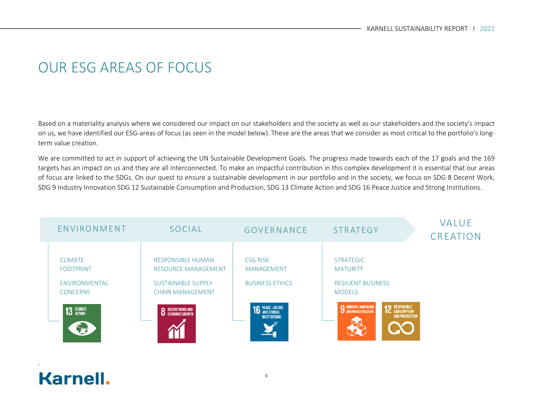## OUR ESG AREAS OF FOCUS

Based on a materiality analysis where we considered our impact on our stakeholders and the society as well as our stakeholders and the society's impact on us, we have identified our ESG-areas of focus (as seen in the model below). These are the areas that we consider as most critical to the portfolio's longterm value creation.

We are committed to act in support of achieving the UN Sustainable Development Goals. The progress made towards each of the 17 goals and the 169 targets has an impact on us and they are all interconnected. To make an impactful contribution in this complex development it is essential that our areas of focus are linked to the SDGs. On our quest to ensure a sustainable development in our portfolio and in the society, we focus on SDG 8 Decent Work, SDG 9 Industry Innovation SDG 12 Sustainable Consumption and Production, SDG 13 Climate Action and SDG 16 Peace Justice and Strong Institutions.



**Karnell.** 

.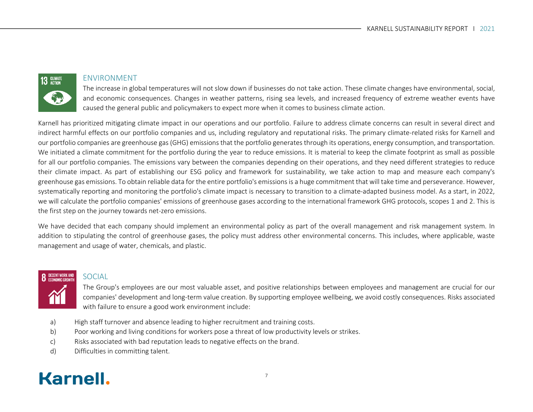# 13 GLIMATE

#### ENVIRONMENT

The increase in global temperatures will not slow down if businesses do not take action. These climate changes have environmental, social, and economic consequences. Changes in weather patterns, rising sea levels, and increased frequency of extreme weather events have caused the general public and policymakers to expect more when it comes to business climate action.

Karnell has prioritized mitigating climate impact in our operations and our portfolio. Failure to address climate concerns can result in several direct and indirect harmful effects on our portfolio companies and us, including regulatory and reputational risks. The primary climate-related risks for Karnell and our portfolio companies are greenhouse gas (GHG) emissions that the portfolio generates through its operations, energy consumption, and transportation. We initiated a climate commitment for the portfolio during the year to reduce emissions. It is material to keep the climate footprint as small as possible for all our portfolio companies. The emissions vary between the companies depending on their operations, and they need different strategies to reduce their climate impact. As part of establishing our ESG policy and framework for sustainability, we take action to map and measure each company's greenhouse gas emissions. To obtain reliable data for the entire portfolio's emissions is a huge commitment that will take time and perseverance. However, systematically reporting and monitoring the portfolio's climate impact is necessary to transition to a climate-adapted business model. As a start, in 2022, we will calculate the portfolio companies' emissions of greenhouse gases according to the international framework GHG protocols, scopes 1 and 2. This is the first step on the journey towards net-zero emissions.

We have decided that each company should implement an environmental policy as part of the overall management and risk management system. In addition to stipulating the control of greenhouse gases, the policy must address other environmental concerns. This includes, where applicable, waste management and usage of water, chemicals, and plastic.

# **DECENT WORK AND**<br>FCONOMIC GROWTH

#### SOCIAL

The Group's employees are our most valuable asset, and positive relationships between employees and management are crucial for our companies' development and long-term value creation. By supporting employee wellbeing, we avoid costly consequences. Risks associated with failure to ensure a good work environment include:

- a) High staff turnover and absence leading to higher recruitment and training costs.
- b) Poor working and living conditions for workers pose a threat of low productivity levels or strikes.
- c) Risks associated with bad reputation leads to negative effects on the brand.
- d) Difficulties in committing talent.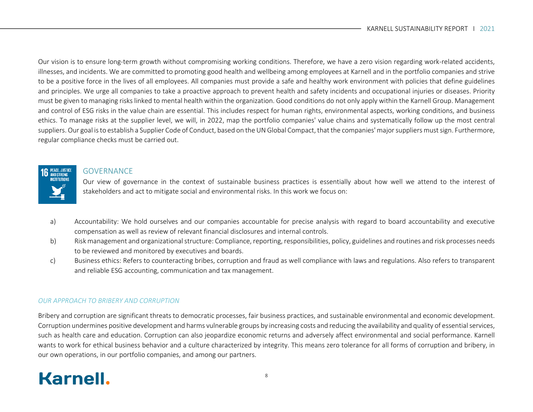Our vision is to ensure long-term growth without compromising working conditions. Therefore, we have a zero vision regarding work-related accidents, illnesses, and incidents. We are committed to promoting good health and wellbeing among employees at Karnell and in the portfolio companies and strive to be a positive force in the lives of all employees. All companies must provide a safe and healthy work environment with policies that define guidelines and principles. We urge all companies to take a proactive approach to prevent health and safety incidents and occupational injuries or diseases. Priority must be given to managing risks linked to mental health within the organization. Good conditions do not only apply within the Karnell Group. Management and control of ESG risks in the value chain are essential. This includes respect for human rights, environmental aspects, working conditions, and business ethics. To manage risks at the supplier level, we will, in 2022, map the portfolio companies' value chains and systematically follow up the most central suppliers. Our goal is to establish a Supplier Code of Conduct, based on the UN Global Compact, that the companies' major suppliers must sign. Furthermore, regular compliance checks must be carried out.

#### **GOVERNANCE**

**6** PEACE, JUSTICE

Our view of governance in the context of sustainable business practices is essentially about how well we attend to the interest of stakeholders and act to mitigate social and environmental risks. In this work we focus on:

- a) Accountability: We hold ourselves and our companies accountable for precise analysis with regard to board accountability and executive compensation as well as review of relevant financial disclosures and internal controls.
- b) Risk management and organizational structure: Compliance, reporting, responsibilities, policy, guidelines and routines and risk processes needs to be reviewed and monitored by executives and boards.
- c) Business ethics: Refers to counteracting bribes, corruption and fraud as well compliance with laws and regulations. Also refers to transparent and reliable ESG accounting, communication and tax management.

#### *OUR APPROACH TO BRIBERY AND CORRUPTION*

Bribery and corruption are significant threats to democratic processes, fair business practices, and sustainable environmental and economic development. Corruption undermines positive development and harms vulnerable groups by increasing costs and reducing the availability and quality of essential services, such as health care and education. Corruption can also jeopardize economic returns and adversely affect environmental and social performance. Karnell wants to work for ethical business behavior and a culture characterized by integrity. This means zero tolerance for all forms of corruption and bribery, in our own operations, in our portfolio companies, and among our partners.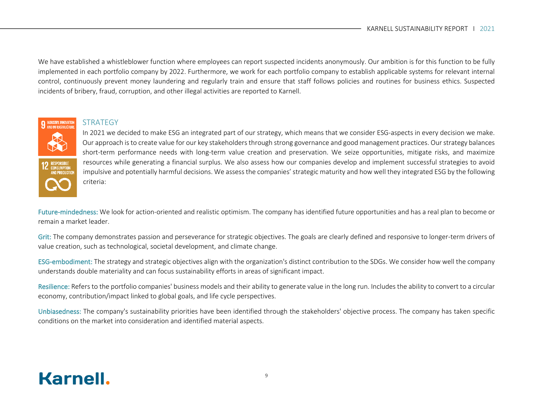We have established a whistleblower function where employees can report suspected incidents anonymously. Our ambition is for this function to be fully implemented in each portfolio company by 2022. Furthermore, we work for each portfolio company to establish applicable systems for relevant internal control, continuously prevent money laundering and regularly train and ensure that staff follows policies and routines for business ethics. Suspected incidents of bribery, fraud, corruption, and other illegal activities are reported to Karnell.



#### **STRATEGY**

In 2021 we decided to make ESG an integrated part of our strategy, which means that we consider ESG-aspects in every decision we make. Our approach is to create value for our key stakeholders through strong governance and good management practices. Our strategy balances short-term performance needs with long-term value creation and preservation. We seize opportunities, mitigate risks, and maximize resources while generating a financial surplus. We also assess how our companies develop and implement successful strategies to avoid impulsive and potentially harmful decisions. We assess the companies' strategic maturity and how well they integrated ESG by the following criteria:

Future-mindedness: We look for action-oriented and realistic optimism. The company has identified future opportunities and has a real plan to become or remain a market leader.

Grit: The company demonstrates passion and perseverance for strategic objectives. The goals are clearly defined and responsive to longer-term drivers of value creation, such as technological, societal development, and climate change.

ESG-embodiment: The strategy and strategic objectives align with the organization's distinct contribution to the SDGs. We consider how well the company understands double materiality and can focus sustainability efforts in areas of significant impact.

Resilience: Refers to the portfolio companies' business models and their ability to generate value in the long run. Includes the ability to convert to a circular economy, contribution/impact linked to global goals, and life cycle perspectives.

Unbiasedness: The company's sustainability priorities have been identified through the stakeholders' objective process. The company has taken specific conditions on the market into consideration and identified material aspects.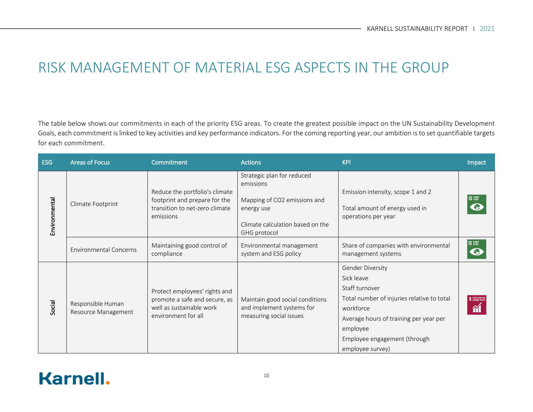## RISK MANAGEMENT OF MATERIAL ESG ASPECTS IN THE GROUP

The table below shows our commitments in each of the priority ESG areas. To create the greatest possible impact on the UN Sustainability Development Goals, each commitment is linked to key activities and key performance indicators. For the coming reporting year, our ambition is to set quantifiable targets for each commitment.

| ESG           | <b>Areas of Focus</b>                    | Commitment                                                                                                        | <b>Actions</b>                                                                                                                            | <b>KPI</b>                                                                                                                                                                                                            | Impact                   |
|---------------|------------------------------------------|-------------------------------------------------------------------------------------------------------------------|-------------------------------------------------------------------------------------------------------------------------------------------|-----------------------------------------------------------------------------------------------------------------------------------------------------------------------------------------------------------------------|--------------------------|
| Environmental | Climate Footprint                        | Reduce the portfolio's climate<br>footprint and prepare for the<br>transition to net-zero climate<br>emissions    | Strategic plan for reduced<br>emissions<br>Mapping of CO2 emissions and<br>energy use<br>Climate calculation based on the<br>GHG protocol | Emission intensity, scope 1 and 2<br>Total amount of energy used in<br>operations per year                                                                                                                            | 13 GLIMATE               |
|               | <b>Environmental Concerns</b>            | Maintaining good control of<br>compliance                                                                         | Environmental management<br>system and ESG policy                                                                                         | Share of companies with environmental<br>management systems                                                                                                                                                           | 13 SUBATE                |
| Social        | Responsible Human<br>Resource Management | Protect employees' rights and<br>promote a safe and secure, as<br>well as sustainable work<br>environment for all | Maintain good social conditions<br>and implement systems for<br>measuring social issues                                                   | Gender Diversity<br>Sick leave<br>Staff turnover<br>Total number of injuries relative to total<br>workforce<br>Average hours of training per year per<br>employee<br>Employee engagement (through<br>employee survey) | <b>8</b> DECENT WORK AND |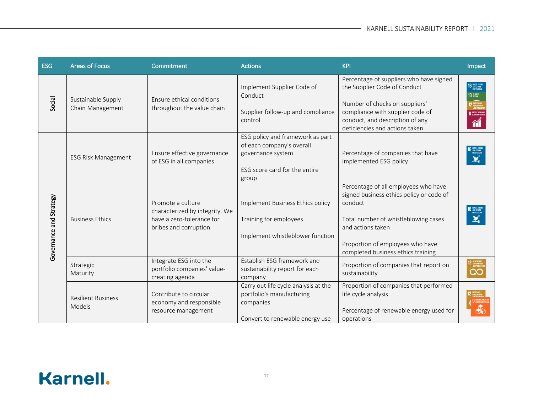| <b>ESG</b>              | <b>Areas of Focus</b>                  | Commitment                                                                                                 | <b>Actions</b>                                                                                                               | <b>KPI</b>                                                                                                                                                                                                                         | Impact                                                                                                           |
|-------------------------|----------------------------------------|------------------------------------------------------------------------------------------------------------|------------------------------------------------------------------------------------------------------------------------------|------------------------------------------------------------------------------------------------------------------------------------------------------------------------------------------------------------------------------------|------------------------------------------------------------------------------------------------------------------|
| Social                  | Sustainable Supply<br>Chain Management | Ensure ethical conditions<br>throughout the value chain                                                    | Implement Supplier Code of<br>Conduct<br>Supplier follow-up and compliance<br>control                                        | Percentage of suppliers who have signed<br>the Supplier Code of Conduct<br>Number of checks on suppliers'<br>compliance with supplier code of<br>conduct, and description of any<br>deficiencies and actions taken                 | <b>16 PEACE, JUSTICE</b><br>INSTITUTIONS<br>13 SUMATE<br><b>12</b> ESPONSIBLE<br>CONSUMPTIO<br>8 DECENT WORK AND |
|                         | <b>ESG Risk Management</b>             | Ensure effective governance<br>of ESG in all companies                                                     | ESG policy and framework as part<br>of each company's overall<br>governance system<br>ESG score card for the entire<br>group | Percentage of companies that have<br>implemented ESG policy                                                                                                                                                                        | <b>6</b> PEACE, JUSTICI                                                                                          |
| Governance and Strategy | <b>Business Ethics</b>                 | Promote a culture<br>characterized by integrity. We<br>have a zero-tolerance for<br>bribes and corruption. | Implement Business Ethics policy<br>Training for employees<br>Implement whistleblower function                               | Percentage of all employees who have<br>signed business ethics policy or code of<br>conduct<br>Total number of whistleblowing cases<br>and actions taken<br>Proportion of employees who have<br>completed business ethics training | 6 PEACE, JUSTICE                                                                                                 |
|                         | Strategic<br>Maturity                  | Integrate ESG into the<br>portfolio companies' value-<br>creating agenda                                   | Establish ESG framework and<br>sustainability report for each<br>company                                                     | Proportion of companies that report on<br>sustainability                                                                                                                                                                           |                                                                                                                  |
|                         | <b>Resilient Business</b><br>Models    | Contribute to circular<br>economy and responsible<br>resource management                                   | Carry out life cycle analysis at the<br>portfolio's manufacturing<br>companies<br>Convert to renewable energy use            | Proportion of companies that performed<br>life cycle analysis<br>Percentage of renewable energy used for<br>operations                                                                                                             |                                                                                                                  |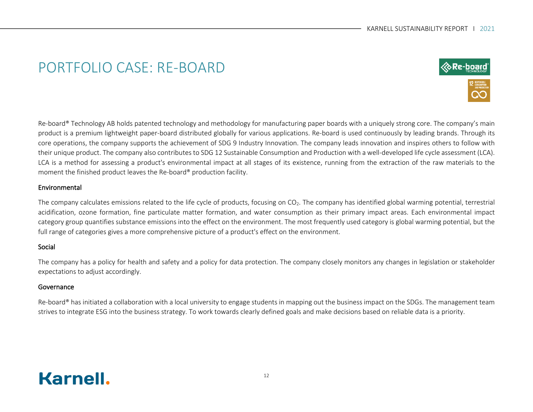## PORTFOLIO CASE: RE-BOARD



Re-board® Technology AB holds patented technology and methodology for manufacturing paper boards with a uniquely strong core. The company's main product is a premium lightweight paper-board distributed globally for various applications. Re-board is used continuously by leading brands. Through its core operations, the company supports the achievement of SDG 9 Industry Innovation. The company leads innovation and inspires others to follow with their unique product. The company also contributes to SDG 12 Sustainable Consumption and Production with a well-developed life cycle assessment (LCA). LCA is a method for assessing a product's environmental impact at all stages of its existence, running from the extraction of the raw materials to the moment the finished product leaves the Re-board® production facility.

#### Environmental

The company calculates emissions related to the life cycle of products, focusing on  $CO<sub>2</sub>$ . The company has identified global warming potential, terrestrial acidification, ozone formation, fine particulate matter formation, and water consumption as their primary impact areas. Each environmental impact category group quantifies substance emissions into the effect on the environment. The most frequently used category is global warming potential, but the full range of categories gives a more comprehensive picture of a product's effect on the environment.

#### Social

The company has a policy for health and safety and a policy for data protection. The company closely monitors any changes in legislation or stakeholder expectations to adjust accordingly.

#### Governance

Re-board® has initiated a collaboration with a local university to engage students in mapping out the business impact on the SDGs. The management team strives to integrate ESG into the business strategy. To work towards clearly defined goals and make decisions based on reliable data is a priority.

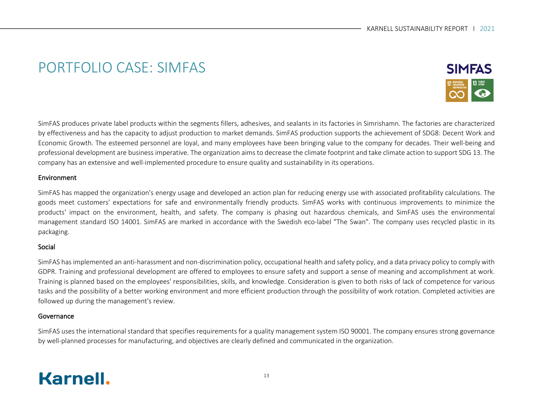## PORTFOLIO CASE: SIMFAS



SimFAS produces private label products within the segments fillers, adhesives, and sealants in its factories in Simrishamn. The factories are characterized by effectiveness and has the capacity to adjust production to market demands. SimFAS production supports the achievement of SDG8: Decent Work and Economic Growth. The esteemed personnel are loyal, and many employees have been bringing value to the company for decades. Their well-being and professional development are business imperative. The organization aims to decrease the climate footprint and take climate action to support SDG 13. The company has an extensive and well-implemented procedure to ensure quality and sustainability in its operations.

#### Environment

SimFAS has mapped the organization's energy usage and developed an action plan for reducing energy use with associated profitability calculations. The goods meet customers' expectations for safe and environmentally friendly products. SimFAS works with continuous improvements to minimize the products' impact on the environment, health, and safety. The company is phasing out hazardous chemicals, and SimFAS uses the environmental management standard ISO 14001. SimFAS are marked in accordance with the Swedish eco-label "The Swan". The company uses recycled plastic in its packaging.

#### Social

SimFAS has implemented an anti-harassment and non-discrimination policy, occupational health and safety policy, and a data privacy policy to comply with GDPR. Training and professional development are offered to employees to ensure safety and support a sense of meaning and accomplishment at work. Training is planned based on the employees' responsibilities, skills, and knowledge. Consideration is given to both risks of lack of competence for various tasks and the possibility of a better working environment and more efficient production through the possibility of work rotation. Completed activities are followed up during the management's review.

#### Governance

SimFAS uses the international standard that specifies requirements for a quality management system ISO 90001. The company ensures strong governance by well-planned processes for manufacturing, and objectives are clearly defined and communicated in the organization.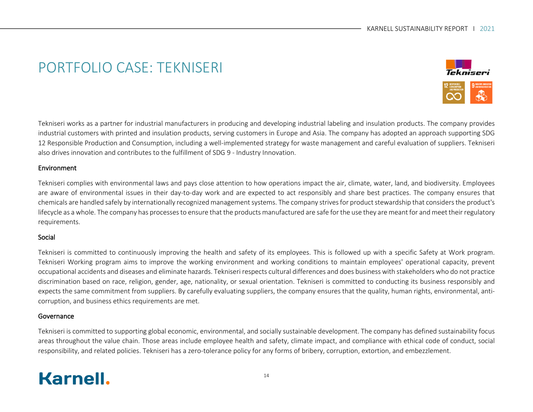## PORTFOLIO CASE: TEKNISERI



Tekniseri works as a partner for industrial manufacturers in producing and developing industrial labeling and insulation products. The company provides industrial customers with printed and insulation products, serving customers in Europe and Asia. The company has adopted an approach supporting SDG 12 Responsible Production and Consumption, including a well-implemented strategy for waste management and careful evaluation of suppliers. Tekniseri also drives innovation and contributes to the fulfillment of SDG 9 - Industry Innovation.

#### Environment

Tekniseri complies with environmental laws and pays close attention to how operations impact the air, climate, water, land, and biodiversity. Employees are aware of environmental issues in their day-to-day work and are expected to act responsibly and share best practices. The company ensures that chemicals are handled safely by internationally recognized management systems. The company strives for product stewardship that considers the product's lifecycle as a whole. The company has processes to ensure that the products manufactured are safe for the use they are meant for and meet their regulatory requirements.

#### Social

Tekniseri is committed to continuously improving the health and safety of its employees. This is followed up with a specific Safety at Work program. Tekniseri Working program aims to improve the working environment and working conditions to maintain employees' operational capacity, prevent occupational accidents and diseases and eliminate hazards. Tekniseri respects cultural differences and does business with stakeholders who do not practice discrimination based on race, religion, gender, age, nationality, or sexual orientation. Tekniseri is committed to conducting its business responsibly and expects the same commitment from suppliers. By carefully evaluating suppliers, the company ensures that the quality, human rights, environmental, anticorruption, and business ethics requirements are met.

#### Governance

Tekniseri is committed to supporting global economic, environmental, and socially sustainable development. The company has defined sustainability focus areas throughout the value chain. Those areas include employee health and safety, climate impact, and compliance with ethical code of conduct, social responsibility, and related policies. Tekniseri has a zero-tolerance policy for any forms of bribery, corruption, extortion, and embezzlement.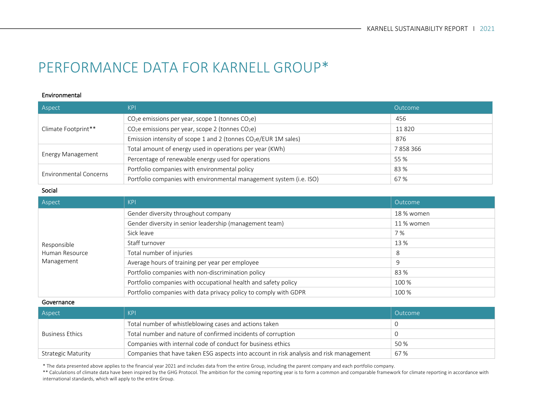## PERFORMANCE DATA FOR KARNELL GROUP\*

#### Environmental

| Aspect                        | <b>KPI</b>                                                          | Outcome |
|-------------------------------|---------------------------------------------------------------------|---------|
| Climate Footprint**           | $CO2e$ emissions per year, scope 1 (tonnes $CO2e$ )                 | 456     |
|                               | $CO2e$ emissions per year, scope 2 (tonnes $CO2e$ )                 | 11820   |
|                               | Emission intensity of scope 1 and 2 (tonnes $CO2e/EUR$ 1M sales)    | 876     |
|                               | Total amount of energy used in operations per year (KWh)            | 7858366 |
| Energy Management             | Percentage of renewable energy used for operations                  | 55 %    |
| <b>Environmental Concerns</b> | Portfolio companies with environmental policy                       | 83 %    |
|                               | Portfolio companies with environmental management system (i.e. ISO) | 67%     |

#### Social

| Aspect         | KPI                                                              | Outcome    |
|----------------|------------------------------------------------------------------|------------|
|                | Gender diversity throughout company                              | 18 % women |
|                | Gender diversity in senior leadership (management team)          | 11 % women |
|                | Sick leave                                                       | 7 %        |
| Responsible    | Staff turnover                                                   | 13 %       |
| Human Resource | Total number of injuries                                         | 8          |
| Management     | Average hours of training per year per employee                  | 9          |
|                | Portfolio companies with non-discrimination policy               | 83 %       |
|                | Portfolio companies with occupational health and safety policy   | 100 %      |
|                | Portfolio companies with data privacy policy to comply with GDPR | 100 %      |

#### Governance

| Aspect                                                                                                               | <b>KPI</b>                                                   | Outcome |
|----------------------------------------------------------------------------------------------------------------------|--------------------------------------------------------------|---------|
| Business Ethics                                                                                                      | Total number of whistleblowing cases and actions taken       |         |
|                                                                                                                      | Total number and nature of confirmed incidents of corruption |         |
|                                                                                                                      | Companies with internal code of conduct for business ethics  | 50 %    |
| Companies that have taken ESG aspects into account in risk analysis and risk management<br><b>Strategic Maturity</b> |                                                              | 67 %    |

\* The data presented above applies to the financial year 2021 and includes data from the entire Group, including the parent company and each portfolio company.

\*\* Calculations of climate data have been inspired by the GHG Protocol. The ambition for the coming reporting year is to form a common and comparable framework for climate reporting in accordance with<br>interactional standar international standards, which will apply to the entire Group.